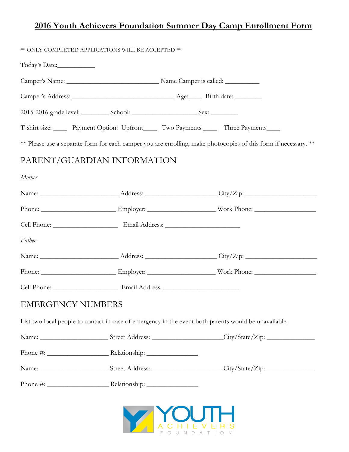| Today's Date:               |  |                                                                                                                      |  |
|-----------------------------|--|----------------------------------------------------------------------------------------------------------------------|--|
|                             |  |                                                                                                                      |  |
|                             |  |                                                                                                                      |  |
|                             |  | T-shirt size: Payment Option: Upfront Two Payments Three Payments                                                    |  |
|                             |  | ** Please use a separate form for each camper you are enrolling, make photocopies of this form if necessary. **      |  |
| PARENT/GUARDIAN INFORMATION |  |                                                                                                                      |  |
| Mother                      |  |                                                                                                                      |  |
|                             |  |                                                                                                                      |  |
|                             |  |                                                                                                                      |  |
|                             |  |                                                                                                                      |  |
| Father                      |  |                                                                                                                      |  |
|                             |  |                                                                                                                      |  |
|                             |  |                                                                                                                      |  |
|                             |  |                                                                                                                      |  |
| <b>EMERGENCY NUMBERS</b>    |  |                                                                                                                      |  |
|                             |  | List two local people to contact in case of emergency in the event both parents would be unavailable.                |  |
|                             |  | Name: __________________________Street Address: _______________________City/State/Zip: _____________________________ |  |
|                             |  |                                                                                                                      |  |
|                             |  | Name: ___________________________Street Address: ________________________City/State/Zip: _____________________       |  |
|                             |  |                                                                                                                      |  |

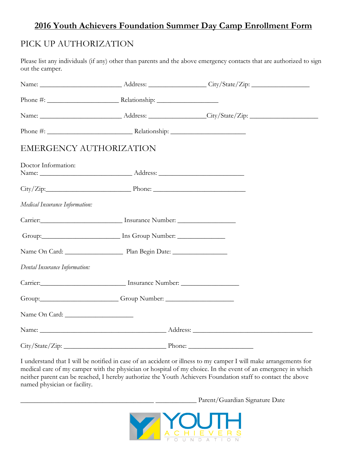# PICK UP AUTHORIZATION

Please list any individuals (if any) other than parents and the above emergency contacts that are authorized to sign out the camper.

| <b>EMERGENCY AUTHORIZATION</b> |                                                                                                                                                                                                                                |  |  |
|--------------------------------|--------------------------------------------------------------------------------------------------------------------------------------------------------------------------------------------------------------------------------|--|--|
| Doctor Information:            |                                                                                                                                                                                                                                |  |  |
|                                | $City/Zip:$ Phone: Phone.                                                                                                                                                                                                      |  |  |
| Medical Insurance Information: |                                                                                                                                                                                                                                |  |  |
|                                |                                                                                                                                                                                                                                |  |  |
|                                |                                                                                                                                                                                                                                |  |  |
|                                |                                                                                                                                                                                                                                |  |  |
| Dental Insurance Information:  |                                                                                                                                                                                                                                |  |  |
|                                | Carrier: Carrier: Carrier: Carrier: Carrier: Carrier: Carrier: Carrier: Carrier: Carrier: Carrier: Carrier: Carrier: Carrier: Carrier: Carrier: Carrier: Carrier: Carrier: Carrier: Carrier: Carrier: Carrier: Carrier: Carrie |  |  |
|                                | Group: Group Number: Comp Number:                                                                                                                                                                                              |  |  |
|                                |                                                                                                                                                                                                                                |  |  |
|                                |                                                                                                                                                                                                                                |  |  |
|                                | $City/State/Zip:$ Phone: Phone:                                                                                                                                                                                                |  |  |

I understand that I will be notified in case of an accident or illness to my camper I will make arrangements for medical care of my camper with the physician or hospital of my choice. In the event of an emergency in which neither parent can be reached, I hereby authorize the Youth Achievers Foundation staff to contact the above named physician or facility.

\_\_\_\_\_\_\_\_\_\_\_\_\_\_\_\_\_\_\_\_\_\_\_\_\_\_\_\_\_\_\_\_\_\_\_\_\_\_\_ \_\_\_\_\_\_\_\_\_\_\_\_ Parent/Guardian Signature Date

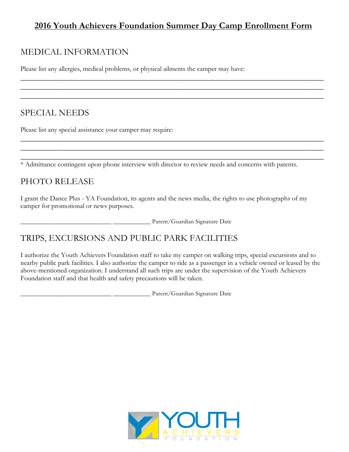\_\_\_\_\_\_\_\_\_\_\_\_\_\_\_\_\_\_\_\_\_\_\_\_\_\_\_\_\_\_\_\_\_\_\_\_\_\_\_\_\_\_\_\_\_\_\_\_\_\_\_\_\_\_\_\_\_\_\_\_\_\_\_\_\_\_\_\_\_\_\_\_\_\_\_\_ \_\_\_\_\_\_\_\_\_\_\_\_\_\_\_\_\_\_\_\_\_\_\_\_\_\_\_\_\_\_\_\_\_\_\_\_\_\_\_\_\_\_\_\_\_\_\_\_\_\_\_\_\_\_\_\_\_\_\_\_\_\_\_\_\_\_\_\_\_\_\_\_\_\_\_\_ \_\_\_\_\_\_\_\_\_\_\_\_\_\_\_\_\_\_\_\_\_\_\_\_\_\_\_\_\_\_\_\_\_\_\_\_\_\_\_\_\_\_\_\_\_\_\_\_\_\_\_\_\_\_\_\_\_\_\_\_\_\_\_\_\_\_\_\_\_\_\_\_\_\_\_\_

\_\_\_\_\_\_\_\_\_\_\_\_\_\_\_\_\_\_\_\_\_\_\_\_\_\_\_\_\_\_\_\_\_\_\_\_\_\_\_\_\_\_\_\_\_\_\_\_\_\_\_\_\_\_\_\_\_\_\_\_\_\_\_\_\_\_\_\_\_\_\_\_\_\_\_\_ \_\_\_\_\_\_\_\_\_\_\_\_\_\_\_\_\_\_\_\_\_\_\_\_\_\_\_\_\_\_\_\_\_\_\_\_\_\_\_\_\_\_\_\_\_\_\_\_\_\_\_\_\_\_\_\_\_\_\_\_\_\_\_\_\_\_\_\_\_\_\_\_\_\_\_\_ \_\_\_\_\_\_\_\_\_\_\_\_\_\_\_\_\_\_\_\_\_\_\_\_\_\_\_\_\_\_\_\_\_\_\_\_\_\_\_\_\_\_\_\_\_\_\_\_\_\_\_\_\_\_\_\_\_\_\_\_\_\_\_\_\_\_\_\_\_\_\_\_\_\_\_\_

## MEDICAL INFORMATION

Please list any allergies, medical problems, or physical ailments the camper may have:

# SPECIAL NEEDS

Please list any special assistance your camper may require:

\* Admittance contingent upon phone interview with director to review needs and concerns with parents.

#### PHOTO RELEASE

I grant the Dance Plus - YA Foundation, its agents and the news media, the rights to use photographs of my camper for promotional or news purposes.

\_\_\_\_\_\_\_\_\_\_\_\_\_\_\_\_\_\_\_\_\_\_\_\_\_\_\_\_\_ \_\_\_\_\_\_\_\_\_\_\_\_ Parent/Guardian Signature Date

# TRIPS, EXCURSIONS AND PUBLIC PARK FACILITIES

I authorize the Youth Achievers Foundation staff to take my camper on walking trips, special excursions and to nearby public park facilities. I also authorize the camper to ride as a passenger in a vehicle owned or leased by the above-mentioned organization. I understand all such trips are under the supervision of the Youth Achievers Foundation staff and that health and safety precautions will be taken.

\_\_\_\_\_\_\_\_\_\_\_\_\_\_\_\_\_\_\_\_\_\_\_\_\_\_\_\_\_ \_\_\_\_\_\_\_\_\_\_\_\_ Parent/Guardian Signature Date